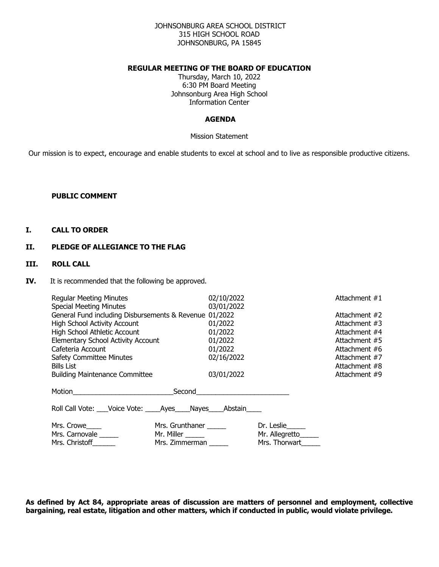### JOHNSONBURG AREA SCHOOL DISTRICT 315 HIGH SCHOOL ROAD JOHNSONBURG, PA 15845

### **REGULAR MEETING OF THE BOARD OF EDUCATION**

Thursday, March 10, 2022 6:30 PM Board Meeting Johnsonburg Area High School Information Center

#### **AGENDA**

Mission Statement

Our mission is to expect, encourage and enable students to excel at school and to live as responsible productive citizens.

#### **PUBLIC COMMENT**

## **I. CALL TO ORDER**

### **II. PLEDGE OF ALLEGIANCE TO THE FLAG**

## **III. ROLL CALL**

**IV.** It is recommended that the following be approved.

| <b>Regular Meeting Minutes</b><br><b>Special Meeting Minutes</b>                                                                                                                                                                                                                          |                                                         | 02/10/2022<br>03/01/2022                                             |                                                    | Attachment #1                                                                                                                        |
|-------------------------------------------------------------------------------------------------------------------------------------------------------------------------------------------------------------------------------------------------------------------------------------------|---------------------------------------------------------|----------------------------------------------------------------------|----------------------------------------------------|--------------------------------------------------------------------------------------------------------------------------------------|
| General Fund including Disbursements & Revenue 01/2022<br><b>High School Activity Account</b><br>High School Athletic Account<br><b>Elementary School Activity Account</b><br>Cafeteria Account<br><b>Safety Committee Minutes</b><br>Bills List<br><b>Building Maintenance Committee</b> |                                                         | 01/2022<br>01/2022<br>01/2022<br>01/2022<br>02/16/2022<br>03/01/2022 |                                                    | Attachment #2<br>Attachment #3<br>Attachment #4<br>Attachment #5<br>Attachment #6<br>Attachment #7<br>Attachment #8<br>Attachment #9 |
|                                                                                                                                                                                                                                                                                           |                                                         |                                                                      |                                                    |                                                                                                                                      |
| Roll Call Vote: Voice Vote: Ayes Nayes Abstain                                                                                                                                                                                                                                            |                                                         |                                                                      |                                                    |                                                                                                                                      |
| Mrs. Crowe<br>Mrs. Carnovale ______<br>Mrs. Christoff_______                                                                                                                                                                                                                              | Mrs. Grunthaner<br>Mr. Miller _______<br>Mrs. Zimmerman |                                                                      | Dr. Leslie<br>Mr. Allegretto_____<br>Mrs. Thorwart |                                                                                                                                      |

**As defined by Act 84, appropriate areas of discussion are matters of personnel and employment, collective bargaining, real estate, litigation and other matters, which if conducted in public, would violate privilege.**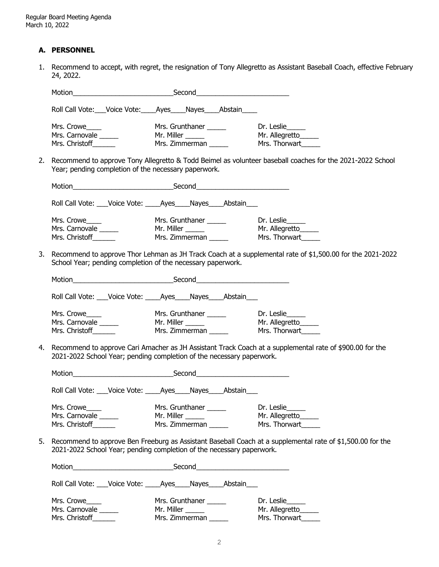## **A. PERSONNEL**

1. Recommend to accept, with regret, the resignation of Tony Allegretto as Assistant Baseball Coach, effective February 24, 2022.

|    | Roll Call Vote: Voice Vote: Ayes Nayes Abstain                        |                                                                        |                                                                                                            |
|----|-----------------------------------------------------------------------|------------------------------------------------------------------------|------------------------------------------------------------------------------------------------------------|
|    | Mrs. Crowe<br>Mrs. Carnovale _____<br>Mrs. Christoff _______          | Mr. Miller ______<br>Mrs. Zimmerman                                    | Mr. Allegretto_____<br>Mrs. Thorwart                                                                       |
| 2. | Year; pending completion of the necessary paperwork.                  |                                                                        | Recommend to approve Tony Allegretto & Todd Beimel as volunteer baseball coaches for the 2021-2022 School  |
|    |                                                                       |                                                                        |                                                                                                            |
|    | Roll Call Vote: ___Voice Vote: _____Ayes_____Nayes_____Abstain____    |                                                                        |                                                                                                            |
|    | Mrs. Crowe____<br>Mrs. Carnovale<br>Mrs. Christoff______              | Mrs. Grunthaner ______<br>Mr. Miller ________<br>Mrs. Zimmerman ______ | Dr. Leslie______<br>Mr. Allegretto_____<br>Mrs. Thorwart                                                   |
| 3. | School Year; pending completion of the necessary paperwork.           |                                                                        | Recommend to approve Thor Lehman as JH Track Coach at a supplemental rate of \$1,500.00 for the 2021-2022  |
|    |                                                                       |                                                                        |                                                                                                            |
|    | Roll Call Vote: ___Voice Vote: _____Ayes_____Nayes_____Abstain____    |                                                                        |                                                                                                            |
|    | Mrs. Crowe<br>Mrs. Carnovale<br>Mrs. Christoff _______                | Mrs. Grunthaner ______<br>Mr. Miller ______<br>$Mrs.$ Zimmerman        | Dr. Leslie<br>Mr. Allegretto<br>Mrs. Thorwart                                                              |
| 4. | 2021-2022 School Year; pending completion of the necessary paperwork. |                                                                        | Recommend to approve Cari Amacher as JH Assistant Track Coach at a supplemental rate of \$900.00 for the   |
|    |                                                                       |                                                                        |                                                                                                            |
|    | Roll Call Vote: ___Voice Vote: _____Ayes_____Nayes_____Abstain____    |                                                                        |                                                                                                            |
|    | Mrs. Crowe____<br>Mrs. Carnovale ______<br>Mrs. Christoff _______     | Mr. Miller ______<br>Mrs. Zimmerman                                    | Mr. Allegretto_<br>Mrs. Thorwart                                                                           |
| 5. | 2021-2022 School Year; pending completion of the necessary paperwork. |                                                                        | Recommend to approve Ben Freeburg as Assistant Baseball Coach at a supplemental rate of \$1,500.00 for the |
|    |                                                                       |                                                                        |                                                                                                            |
|    | Roll Call Vote: ___Voice Vote: _____Ayes_____Nayes_____Abstain____    |                                                                        |                                                                                                            |
|    | Mrs. Crowe                                                            | Mrs. Grunthaner ______                                                 | Dr. Leslie                                                                                                 |
|    | Mrs. Carnovale _____                                                  | Mr. Miller _____                                                       | Mr. Allegretto_____                                                                                        |
|    | Mrs. Christoff _______                                                | Mrs. Zimmerman                                                         | Mrs. Thorwart                                                                                              |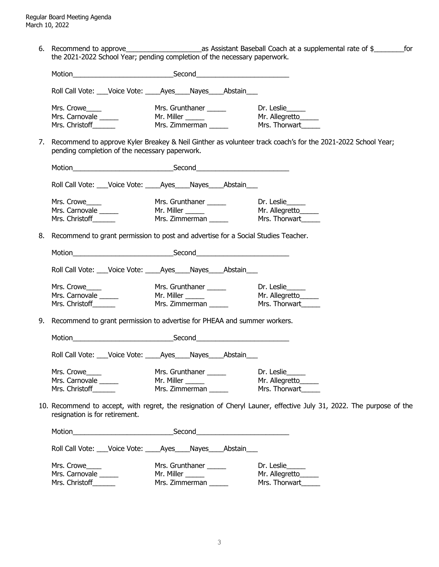6. Recommend to approve\_\_\_\_\_\_\_\_\_\_\_\_\_\_\_\_\_\_\_\_as Assistant Baseball Coach at a supplemental rate of \$\_\_\_\_\_\_\_\_for the 2021-2022 School Year; pending completion of the necessary paperwork.

| Roll Call Vote: ___Voice Vote: _____Ayes____Nayes____Abstain___                |                                 |                 |                        |                                                                                                                     |
|--------------------------------------------------------------------------------|---------------------------------|-----------------|------------------------|---------------------------------------------------------------------------------------------------------------------|
| Mrs. Crowe____<br>Mrs. Crowe<br>Mrs. Carnovale ______<br>Mrs. Christoff ______ |                                 |                 |                        |                                                                                                                     |
| pending completion of the necessary paperwork.                                 |                                 |                 |                        | 7. Recommend to approve Kyler Breakey & Neil Ginther as volunteer track coach's for the 2021-2022 School Year;      |
|                                                                                |                                 |                 |                        |                                                                                                                     |
| Roll Call Vote: ___Voice Vote: _____Ayes_____Nayes_____Abstain____             |                                 |                 |                        |                                                                                                                     |
| Mrs. Crowe____<br>Mrs. Carnovale ______<br>Mrs. Christoff_______               |                                 |                 |                        |                                                                                                                     |
|                                                                                |                                 |                 |                        | 8. Recommend to grant permission to post and advertise for a Social Studies Teacher.                                |
|                                                                                |                                 |                 |                        |                                                                                                                     |
| Roll Call Vote: Voice Vote: Ayes Nayes Abstain                                 |                                 |                 |                        |                                                                                                                     |
| Mrs. Crowe                                                                     |                                 |                 |                        | Mrs. Christoff Mrs. Zimmerman Mrs. 7. Mrs. Thorwart                                                                 |
| 9. Recommend to grant permission to advertise for PHEAA and summer workers.    |                                 |                 |                        |                                                                                                                     |
|                                                                                |                                 |                 |                        |                                                                                                                     |
| Roll Call Vote: ___Voice Vote: _____Ayes____Nayes____Abstain___                |                                 |                 |                        |                                                                                                                     |
| Mrs. Crowe____<br>Mrs. Carnovale ______<br>Mrs. Christoff _______              | Mr. Miller $\rule{1em}{0.15mm}$ |                 | Mrs. Grunthaner ______ | Dr. Leslie<br>Mr. Allegretto                                                                                        |
| resignation is for retirement.                                                 |                                 |                 |                        | 10. Recommend to accept, with regret, the resignation of Cheryl Launer, effective July 31, 2022. The purpose of the |
|                                                                                |                                 |                 |                        |                                                                                                                     |
| Roll Call Vote: ___Voice Vote: _____Ayes____Nayes____Abstain___                |                                 |                 |                        |                                                                                                                     |
| Mrs. Crowe_____<br>Mrs. Carnovale ______                                       |                                 | Mrs. Grunthaner |                        | Dr. Leslie_____<br>Mr. Allegretto                                                                                   |

Mrs. Christoff\_\_\_\_\_\_\_\_ Mrs. Zimmerman \_\_\_\_\_\_ Mrs. Thorwart\_\_\_\_\_\_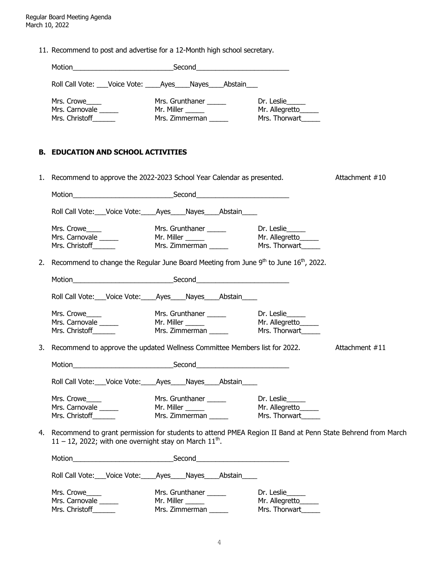11. Recommend to post and advertise for a 12-Month high school secretary.

| Motion<br>Second                               |                                                                       |                                                    |  |  |  |
|------------------------------------------------|-----------------------------------------------------------------------|----------------------------------------------------|--|--|--|
|                                                | Roll Call Vote: ___Voice Vote: _____Ayes _____Nayes _____Abstain ____ |                                                    |  |  |  |
| Mrs. Crowe<br>Mrs. Carnovale<br>Mrs. Christoff | Mrs. Grunthaner<br>Mr. Miller<br>Mrs. Zimmerman                       | Dr. Leslie<br>Mr. Allegretto_____<br>Mrs. Thorwart |  |  |  |

## **B. EDUCATION AND SCHOOL ACTIVITIES**

|    | 1. Recommend to approve the 2022-2023 School Year Calendar as presented. |                                                                                                                                                                                                                                |                              | Attachment #10 |
|----|--------------------------------------------------------------------------|--------------------------------------------------------------------------------------------------------------------------------------------------------------------------------------------------------------------------------|------------------------------|----------------|
|    |                                                                          |                                                                                                                                                                                                                                |                              |                |
|    |                                                                          | Roll Call Vote: ___ Voice Vote: ____ Ayes ____ Nayes ____ Abstain ____                                                                                                                                                         |                              |                |
|    |                                                                          | Mrs. Crowe  Mrs. Crowe  Mrs. Come  Mrs. Carnovale  Mrs. Carnovale  Mrs. Christoff  Mrs. Christoff  Mrs. Christoff  Mrs. Christoff  Mrs. Christoff  Mrs. Christoff  Mrs. Christoff  Mrs. Christoff  Mrs. Christoff  Mrs. Christ |                              |                |
| 2. |                                                                          | Recommend to change the Regular June Board Meeting from June 9 <sup>th</sup> to June 16 <sup>th</sup> , 2022.                                                                                                                  |                              |                |
|    |                                                                          |                                                                                                                                                                                                                                |                              |                |
|    |                                                                          | Roll Call Vote: Voice Vote: Ayes Nayes Abstain                                                                                                                                                                                 |                              |                |
|    | Mrs. Crowe<br>Mrs. Carnovale<br>Mrs. Christoff                           |                                                                                                                                                                                                                                |                              |                |
|    |                                                                          | 3. Recommend to approve the updated Wellness Committee Members list for 2022. Attachment #11                                                                                                                                   |                              |                |
|    |                                                                          |                                                                                                                                                                                                                                |                              |                |
|    |                                                                          | Roll Call Vote: ___ Voice Vote: ____ Ayes ____ Nayes ____ Abstain _____                                                                                                                                                        |                              |                |
|    | Mrs. Crowe____<br>Mrs. Carnovale<br>Mrs. Christoff                       |                                                                                                                                                                                                                                |                              |                |
|    | 11 – 12, 2022; with one overnight stay on March $11th$ .                 | 4. Recommend to grant permission for students to attend PMEA Region II Band at Penn State Behrend from March                                                                                                                   |                              |                |
|    |                                                                          |                                                                                                                                                                                                                                |                              |                |
|    |                                                                          | Roll Call Vote: Voice Vote: Ayes Nayes Abstain                                                                                                                                                                                 |                              |                |
|    | Mrs. Crowe<br>Mrs. Carnovale                                             | Mrs. Grunthaner ______<br>Mr. Miller<br><u>and</u> and the state of the state of the                                                                                                                                           | Dr. Leslie<br>Mr. Allegretto |                |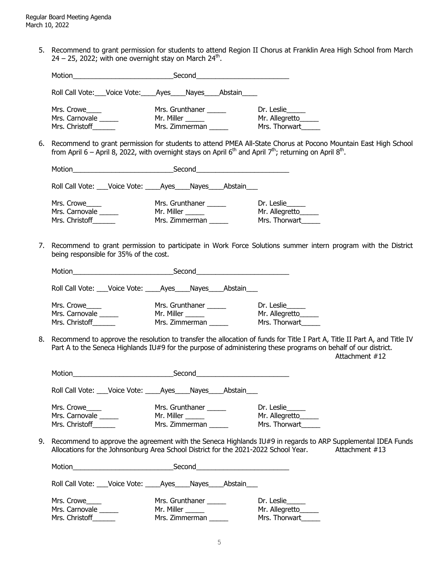5. Recommend to grant permission for students to attend Region II Chorus at Franklin Area High School from March 24 – 25, 2022; with one overnight stay on March 24<sup>th</sup>.

| Motion                                         | Second<br>the contract of the contract of the contract of the contract of the contract of |                                                   |  |  |  |
|------------------------------------------------|-------------------------------------------------------------------------------------------|---------------------------------------------------|--|--|--|
|                                                | Roll Call Vote: Voice Vote: Ayes Nayes Abstain                                            |                                                   |  |  |  |
| Mrs. Crowe<br>Mrs. Carnovale<br>Mrs. Christoff | Mrs. Grunthaner<br>Mr. Miller<br>Mrs. Zimmerman                                           | Dr. Leslie<br>Mr. Allegretto____<br>Mrs. Thorwart |  |  |  |

6. Recommend to grant permission for students to attend PMEA All-State Chorus at Pocono Mountain East High School from April 6 – April 8, 2022, with overnight stays on April 6<sup>th</sup> and April 7<sup>th</sup>; returning on April 8<sup>th</sup>.

| Motion<br><u> 1980 - Jan Samuel Barbara, político e a f</u>           |            |                                   |  |                                                    |  |
|-----------------------------------------------------------------------|------------|-----------------------------------|--|----------------------------------------------------|--|
| Roll Call Vote: ___Voice Vote: _____Ayes _____Nayes _____Abstain ____ |            |                                   |  |                                                    |  |
| Mrs. Crowe<br>Mrs. Carnovale ______<br>Mrs. Christoff                 | Mr. Miller | Mrs. Grunthaner<br>Mrs. Zimmerman |  | Dr. Leslie<br>Mr. Allegretto_____<br>Mrs. Thorwart |  |

7. Recommend to grant permission to participate in Work Force Solutions summer intern program with the District being responsible for 35% of the cost.

| Motion                                                 | Second     |                                   |         |                                               |  |
|--------------------------------------------------------|------------|-----------------------------------|---------|-----------------------------------------------|--|
| Roll Call Vote: ___ Voice Vote: _____ Ayes_____ Nayes_ |            |                                   | Abstain |                                               |  |
| Mrs. Crowe<br>Mrs. Carnovale<br>Mrs. Christoff         | Mr. Miller | Mrs. Grunthaner<br>Mrs. Zimmerman |         | Dr. Leslie<br>Mr. Allegretto<br>Mrs. Thorwart |  |

8. Recommend to approve the resolution to transfer the allocation of funds for Title I Part A, Title II Part A, and Title IV Part A to the Seneca Highlands IU#9 for the purpose of administering these programs on behalf of our district. Attachment #12

| Motion                                         | Second<br><u> 1986 - Johann John Stone, Amerikaansk politiker (</u> |                                                                                                                                                                                                                        |
|------------------------------------------------|---------------------------------------------------------------------|------------------------------------------------------------------------------------------------------------------------------------------------------------------------------------------------------------------------|
| Roll Call Vote: Voice Vote: Ayes Nayes Abstain |                                                                     |                                                                                                                                                                                                                        |
| Mrs. Crowe<br>Mrs. Carnovale<br>Mrs. Christoff | Mrs. Grunthaner<br>Mr. Miller _______<br>Mrs. Zimmerman             | Dr. Leslie<br>Mr. Allegretto_____<br>Mrs. Thorwart                                                                                                                                                                     |
|                                                |                                                                     | 9. Recommend to approve the agreement with the Seneca Highlands $IU#9$ in regards to ARP Supplemental IDEA Funds<br>Allocations for the Johnsonburg Area School District for the 2021-2022 School Year. Attachment #13 |
|                                                | Motion <b>Example 2018</b> Second Second Second <b>Second</b>       |                                                                                                                                                                                                                        |
|                                                | Roll Call Vote: Voice Vote: Ayes Nayes Abstain                      |                                                                                                                                                                                                                        |
| Mrs. Crowe<br>Mrs. Carnovale<br>Mrs. Christoff | Mrs. Grunthaner<br>Mr. Miller ______<br>Mrs. Zimmerman              | Dr. Leslie<br>Mr. Allegretto_____<br>Mrs. Thorwart                                                                                                                                                                     |